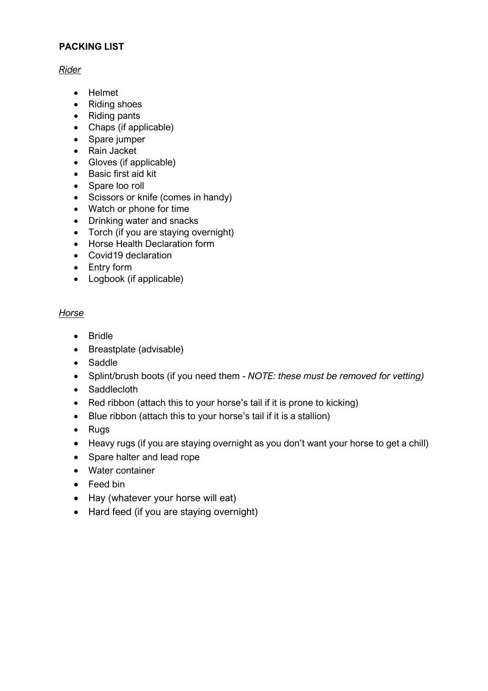### **PACKING LIST**

### *Rider*

- Helmet
- Riding shoes
- Riding pants
- Chaps (if applicable)
- Spare jumper
- Rain Jacket
- Gloves (if applicable)
- Basic first aid kit
- Spare loo roll
- Scissors or knife (comes in handy)
- Watch or phone for time
- Drinking water and snacks
- Torch (if you are staying overnight)
- Horse Health Declaration form
- Covid19 declaration
- Entry form
- Logbook (if applicable)

# *Horse*

- Bridle
- Breastplate (advisable)
- Saddle
- Splint/brush boots (if you need them *NOTE: these must be removed for vetting)*
- Saddlecloth
- Red ribbon (attach this to your horse's tail if it is prone to kicking)
- Blue ribbon (attach this to your horse's tail if it is a stallion)
- Rugs
- Heavy rugs (if you are staying overnight as you don't want your horse to get a chill)
- Spare halter and lead rope
- Water container
- Feed bin
- Hay (whatever your horse will eat)
- Hard feed (if you are staying overnight)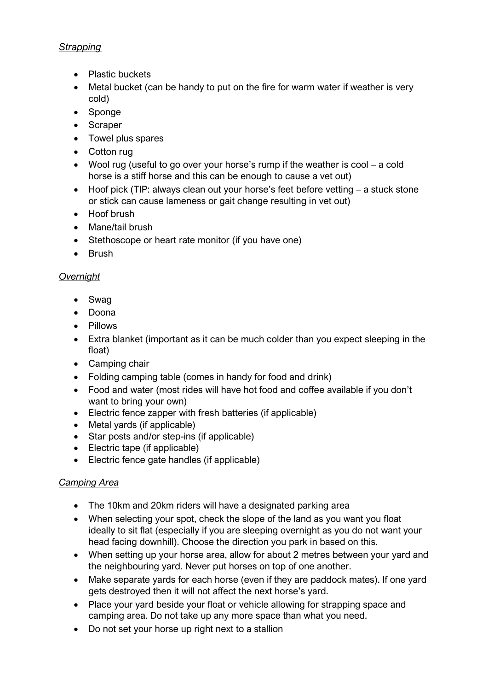## *Strapping*

- Plastic buckets
- Metal bucket (can be handy to put on the fire for warm water if weather is very cold)
- Sponge
- Scraper
- Towel plus spares
- Cotton rug
- Wool rug (useful to go over your horse's rump if the weather is cool a cold horse is a stiff horse and this can be enough to cause a vet out)
- Hoof pick (TIP: always clean out your horse's feet before vetting a stuck stone or stick can cause lameness or gait change resulting in vet out)
- Hoof brush
- Mane/tail brush
- Stethoscope or heart rate monitor (if you have one)
- Brush

# *Overnight*

- Swag
- Doona
- Pillows
- Extra blanket (important as it can be much colder than you expect sleeping in the float)
- Camping chair
- Folding camping table (comes in handy for food and drink)
- Food and water (most rides will have hot food and coffee available if you don't want to bring your own)
- Electric fence zapper with fresh batteries (if applicable)
- Metal yards (if applicable)
- Star posts and/or step-ins (if applicable)
- Electric tape (if applicable)
- Electric fence gate handles (if applicable)

## *Camping Area*

- The 10km and 20km riders will have a designated parking area
- When selecting your spot, check the slope of the land as you want you float ideally to sit flat (especially if you are sleeping overnight as you do not want your head facing downhill). Choose the direction you park in based on this.
- When setting up your horse area, allow for about 2 metres between your yard and the neighbouring yard. Never put horses on top of one another.
- Make separate yards for each horse (even if they are paddock mates). If one yard gets destroyed then it will not affect the next horse's yard.
- Place your yard beside your float or vehicle allowing for strapping space and camping area. Do not take up any more space than what you need.
- Do not set your horse up right next to a stallion